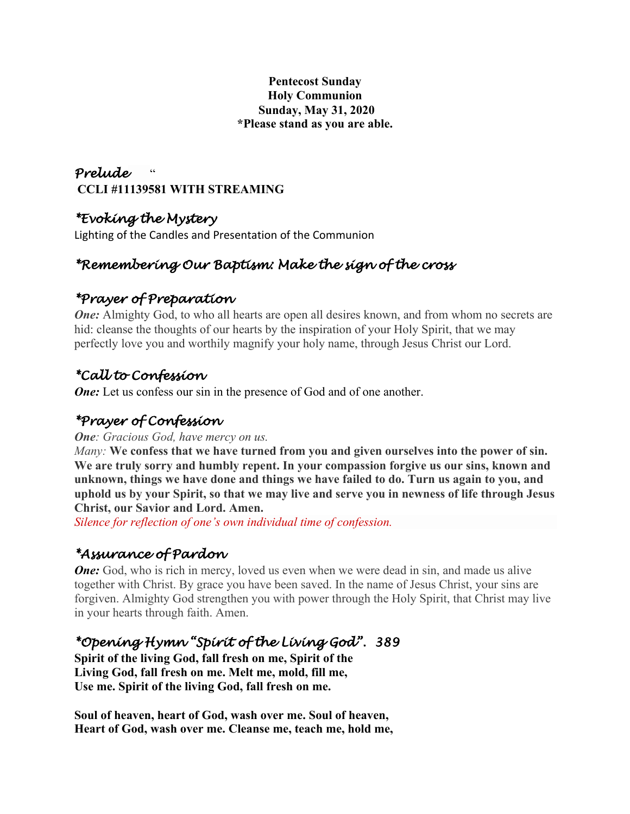### **Pentecost Sunday Holy Communion Sunday, May 31, 2020 \*Please stand as you are able.**

### *Prelude* " **CCLI #11139581 WITH STREAMING**

## *\*Evoking the Mystery*

Lighting of the Candles and Presentation of the Communion

# *\*Remembering Our Baptism: Make the sign of the cross*

# *\*Prayer of Preparation*

*One:* Almighty God, to who all hearts are open all desires known, and from whom no secrets are hid: cleanse the thoughts of our hearts by the inspiration of your Holy Spirit, that we may perfectly love you and worthily magnify your holy name, through Jesus Christ our Lord.

# *\*Call to Confession*

*One:* Let us confess our sin in the presence of God and of one another.

## *\*Prayer of Confession*

*One: Gracious God, have mercy on us.*

*Many:* **We confess that we have turned from you and given ourselves into the power of sin. We are truly sorry and humbly repent. In your compassion forgive us our sins, known and unknown, things we have done and things we have failed to do. Turn us again to you, and uphold us by your Spirit, so that we may live and serve you in newness of life through Jesus Christ, our Savior and Lord. Amen.**

*Silence for reflection of one's own individual time of confession.*

# *\*Assurance of Pardon*

*One*: God, who is rich in mercy, loved us even when we were dead in sin, and made us alive together with Christ. By grace you have been saved. In the name of Jesus Christ, your sins are forgiven. Almighty God strengthen you with power through the Holy Spirit, that Christ may live in your hearts through faith. Amen.

## *\*Opening Hymn "Spirit of the Living God". 389*

**Spirit of the living God, fall fresh on me, Spirit of the Living God, fall fresh on me. Melt me, mold, fill me, Use me. Spirit of the living God, fall fresh on me.**

**Soul of heaven, heart of God, wash over me. Soul of heaven, Heart of God, wash over me. Cleanse me, teach me, hold me,**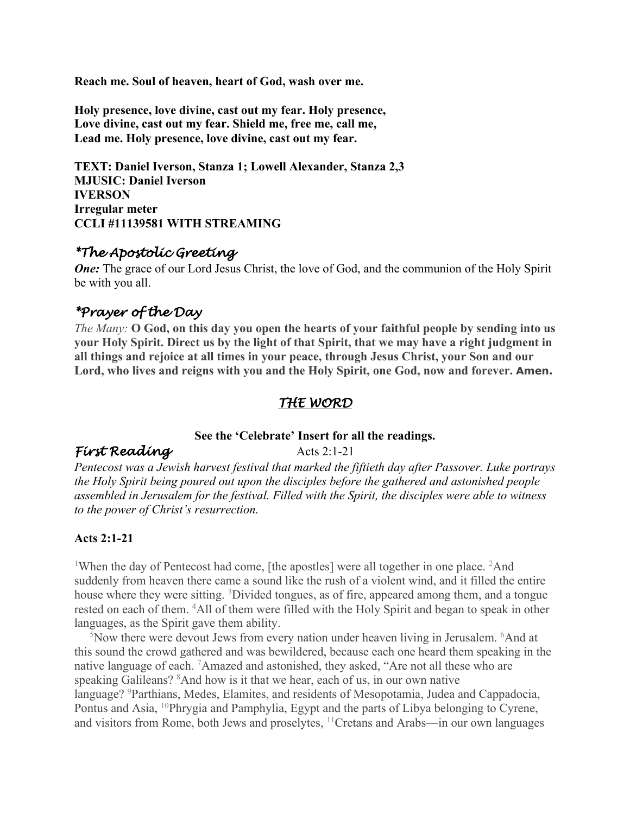**Reach me. Soul of heaven, heart of God, wash over me.**

**Holy presence, love divine, cast out my fear. Holy presence, Love divine, cast out my fear. Shield me, free me, call me, Lead me. Holy presence, love divine, cast out my fear.**

**TEXT: Daniel Iverson, Stanza 1; Lowell Alexander, Stanza 2,3 MJUSIC: Daniel Iverson IVERSON Irregular meter CCLI #11139581 WITH STREAMING**

### *\*The Apostolic Greeting*

*One:* The grace of our Lord Jesus Christ, the love of God, and the communion of the Holy Spirit be with you all.

### *\*Prayer of the Day*

*The Many:* **O God, on this day you open the hearts of your faithful people by sending into us your Holy Spirit. Direct us by the light of that Spirit, that we may have a right judgment in all things and rejoice at all times in your peace, through Jesus Christ, your Son and our Lord, who lives and reigns with you and the Holy Spirit, one God, now and forever. Amen.**

### *THE WORD*

#### **See the 'Celebrate' Insert for all the readings.**

### *First Reading* Acts 2:1-21

*Pentecost was a Jewish harvest festival that marked the fiftieth day after Passover. Luke portrays the Holy Spirit being poured out upon the disciples before the gathered and astonished people assembled in Jerusalem for the festival. Filled with the Spirit, the disciples were able to witness to the power of Christ's resurrection.*

### **Acts 2:1-21**

<sup>1</sup>When the day of Pentecost had come, [the apostles] were all together in one place. <sup>2</sup>And suddenly from heaven there came a sound like the rush of a violent wind, and it filled the entire house where they were sitting. <sup>3</sup>Divided tongues, as of fire, appeared among them, and a tongue rested on each of them. <sup>4</sup>All of them were filled with the Holy Spirit and began to speak in other languages, as the Spirit gave them ability.

<sup>5</sup>Now there were devout Jews from every nation under heaven living in Jerusalem. <sup>6</sup>And at this sound the crowd gathered and was bewildered, because each one heard them speaking in the native language of each. <sup>7</sup>Amazed and astonished, they asked, "Are not all these who are speaking Galileans? <sup>8</sup> And how is it that we hear, each of us, in our own native language? <sup>9</sup>Parthians, Medes, Elamites, and residents of Mesopotamia, Judea and Cappadocia, Pontus and Asia, 10Phrygia and Pamphylia, Egypt and the parts of Libya belonging to Cyrene, and visitors from Rome, both Jews and proselytes, 11Cretans and Arabs—in our own languages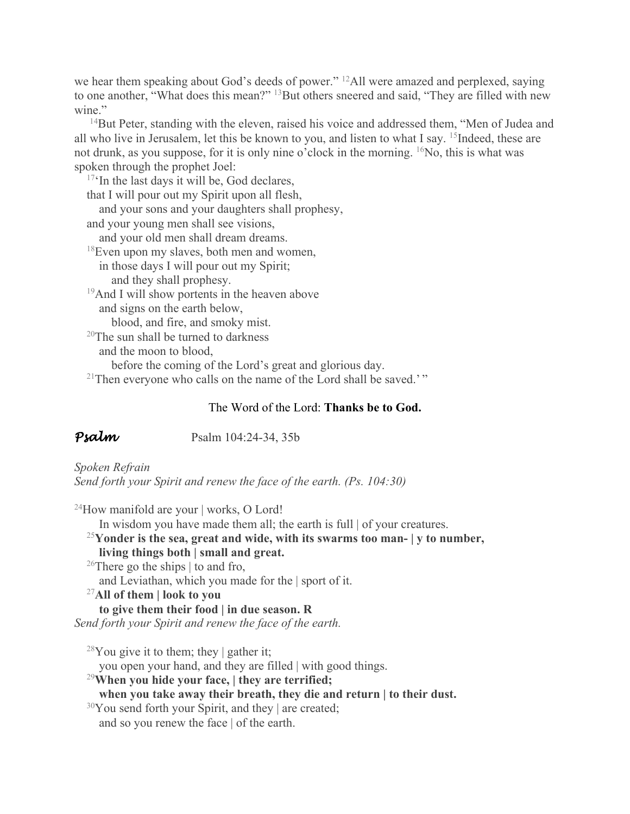we hear them speaking about God's deeds of power." 12All were amazed and perplexed, saying to one another, "What does this mean?" <sup>13</sup>But others sneered and said, "They are filled with new wine."

<sup>14</sup>But Peter, standing with the eleven, raised his voice and addressed them, "Men of Judea and all who live in Jerusalem, let this be known to you, and listen to what I say. 15Indeed, these are not drunk, as you suppose, for it is only nine o'clock in the morning. 16No, this is what was spoken through the prophet Joel:

 $17$ <sup>c</sup>In the last days it will be, God declares, that I will pour out my Spirit upon all flesh, and your sons and your daughters shall prophesy, and your young men shall see visions, and your old men shall dream dreams. 18Even upon my slaves, both men and women, in those days I will pour out my Spirit; and they shall prophesy. <sup>19</sup>And I will show portents in the heaven above and signs on the earth below, blood, and fire, and smoky mist. <sup>20</sup>The sun shall be turned to darkness

and the moon to blood,

before the coming of the Lord's great and glorious day.

<sup>21</sup>Then everyone who calls on the name of the Lord shall be saved.'"

### The Word of the Lord: **Thanks be to God.**

**Psalm** Psalm 104:24-34, 35b

*Spoken Refrain Send forth your Spirit and renew the face of the earth. (Ps. 104:30)*

<sup>24</sup>How manifold are your | works, O Lord!

In wisdom you have made them all; the earth is full | of your creatures.

<sup>25</sup>**Yonder is the sea, great and wide, with its swarms too man- | y to number,**

### **living things both | small and great.**

<sup>26</sup>There go the ships  $\vert$  to and fro,

and Leviathan, which you made for the | sport of it.

<sup>27</sup>**All of them | look to you**

**to give them their food | in due season. R**

*Send forth your Spirit and renew the face of the earth.*

<sup>28</sup>You give it to them; they | gather it;

you open your hand, and they are filled | with good things.

<sup>29</sup>**When you hide your face, | they are terrified;**

**when you take away their breath, they die and return | to their dust.**

 $30$ You send forth your Spirit, and they | are created;

and so you renew the face | of the earth.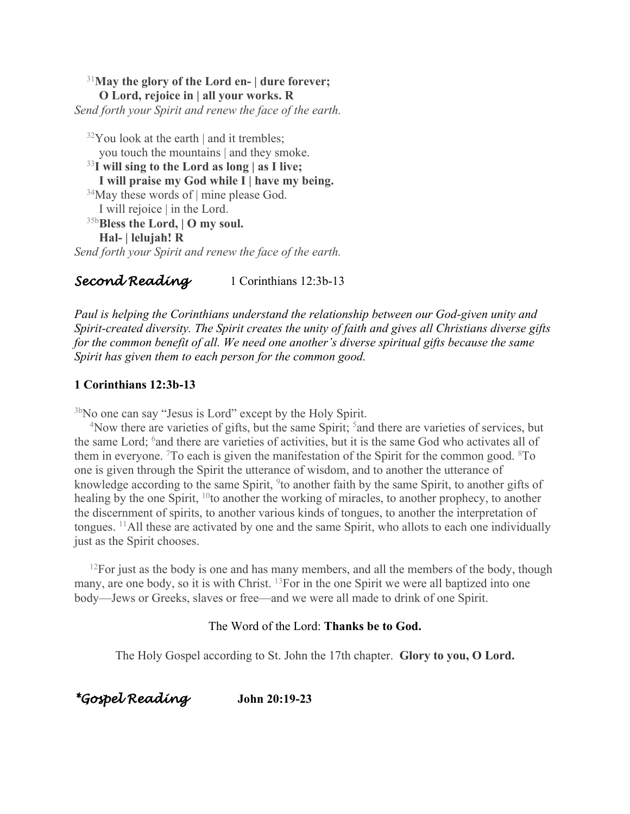<sup>31</sup>**May the glory of the Lord en- | dure forever; O Lord, rejoice in | all your works. R** *Send forth your Spirit and renew the face of the earth.*

 $32$ You look at the earth | and it trembles; you touch the mountains | and they smoke. <sup>33</sup>**I will sing to the Lord as long | as I live; I will praise my God while I | have my being.**  $34$ May these words of | mine please God. I will rejoice | in the Lord. 35b**Bless the Lord, | O my soul. Hal- | lelujah! R**

*Send forth your Spirit and renew the face of the earth.*

*Second Reading* 1 Corinthians 12:3b-13

*Paul is helping the Corinthians understand the relationship between our God-given unity and Spirit-created diversity. The Spirit creates the unity of faith and gives all Christians diverse gifts for the common benefit of all. We need one another's diverse spiritual gifts because the same Spirit has given them to each person for the common good.*

#### **1 Corinthians 12:3b-13**

<sup>3b</sup>No one can say "Jesus is Lord" except by the Holy Spirit.

<sup>4</sup>Now there are varieties of gifts, but the same Spirit; <sup>5</sup> and there are varieties of services, but the same Lord; <sup>6</sup> and there are varieties of activities, but it is the same God who activates all of them in everyone. <sup>7</sup>To each is given the manifestation of the Spirit for the common good.  $8T_0$ one is given through the Spirit the utterance of wisdom, and to another the utterance of knowledge according to the same Spirit, <sup>9</sup>to another faith by the same Spirit, to another gifts of healing by the one Spirit, <sup>10</sup>to another the working of miracles, to another prophecy, to another the discernment of spirits, to another various kinds of tongues, to another the interpretation of tongues. 11All these are activated by one and the same Spirit, who allots to each one individually just as the Spirit chooses.

 $12$ For just as the body is one and has many members, and all the members of the body, though many, are one body, so it is with Christ. <sup>13</sup>For in the one Spirit we were all baptized into one body—Jews or Greeks, slaves or free—and we were all made to drink of one Spirit.

#### The Word of the Lord: **Thanks be to God.**

The Holy Gospel according to St. John the 17th chapter. **Glory to you, O Lord.**

*\*Gospel Reading* **John 20:19-23**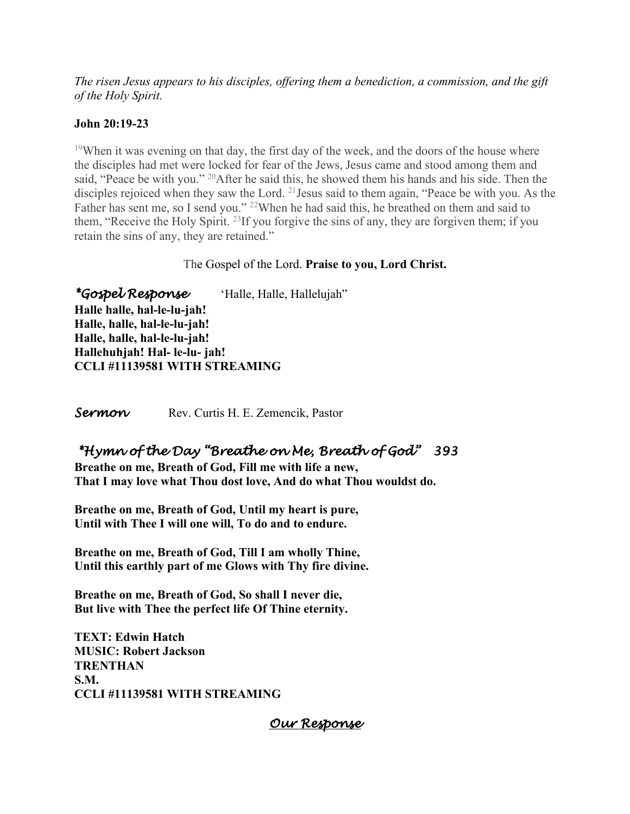*The risen Jesus appears to his disciples, offering them a benediction, a commission, and the gift of the Holy Spirit.*

#### **John 20:19-23**

<sup>19</sup>When it was evening on that day, the first day of the week, and the doors of the house where the disciples had met were locked for fear of the Jews, Jesus came and stood among them and said, "Peace be with you." <sup>20</sup>After he said this, he showed them his hands and his side. Then the disciples rejoiced when they saw the Lord. <sup>21</sup> Jesus said to them again, "Peace be with you. As the Father has sent me, so I send you." <sup>22</sup>When he had said this, he breathed on them and said to them, "Receive the Holy Spirit. 23If you forgive the sins of any, they are forgiven them; if you retain the sins of any, they are retained."

### The Gospel of the Lord. **Praise to you, Lord Christ.**

*\*Gospel Response* 'Halle, Halle, Hallelujah" **Halle halle, hal-le-lu-jah! Halle, halle, hal-le-lu-jah! Halle, halle, hal-le-lu-jah! Hallehuhjah! Hal- le-lu- jah! CCLI #11139581 WITH STREAMING**

**Sermon** Rev. Curtis H. E. Zemencik, Pastor

### *\*Hymn of the Day "Breathe on Me, Breath of God" 393*

**Breathe on me, Breath of God, Fill me with life a new, That I may love what Thou dost love, And do what Thou wouldst do.**

**Breathe on me, Breath of God, Until my heart is pure, Until with Thee I will one will, To do and to endure.**

**Breathe on me, Breath of God, Till I am wholly Thine, Until this earthly part of me Glows with Thy fire divine.**

**Breathe on me, Breath of God, So shall I never die, But live with Thee the perfect life Of Thine eternity.**

**TEXT: Edwin Hatch MUSIC: Robert Jackson TRENTHAN S.M. CCLI #11139581 WITH STREAMING**

### *Our Response*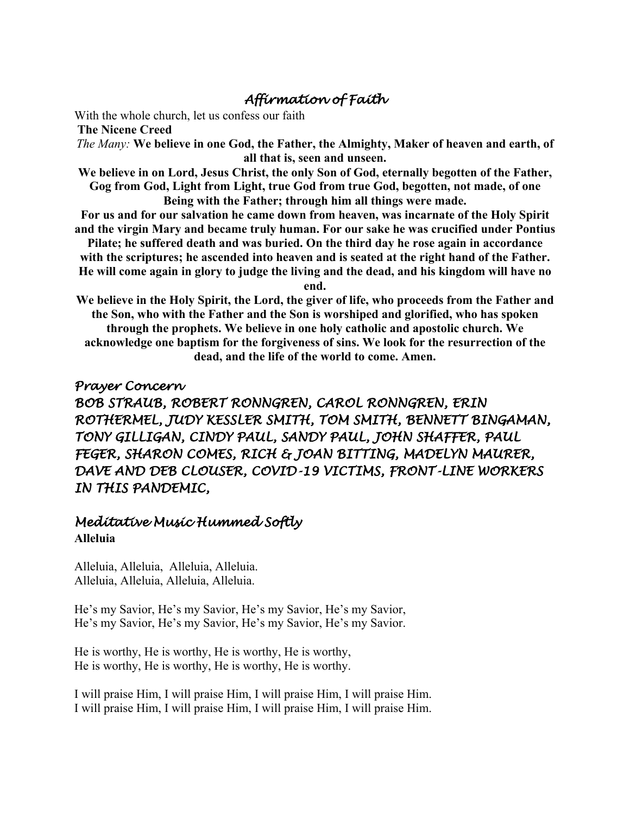## *Affirmation of Faith*

With the whole church, let us confess our faith

**The Nicene Creed**

*The Many:* **We believe in one God, the Father, the Almighty, Maker of heaven and earth, of all that is, seen and unseen.**

**We believe in on Lord, Jesus Christ, the only Son of God, eternally begotten of the Father, Gog from God, Light from Light, true God from true God, begotten, not made, of one Being with the Father; through him all things were made.**

**For us and for our salvation he came down from heaven, was incarnate of the Holy Spirit and the virgin Mary and became truly human. For our sake he was crucified under Pontius** 

**Pilate; he suffered death and was buried. On the third day he rose again in accordance with the scriptures; he ascended into heaven and is seated at the right hand of the Father. He will come again in glory to judge the living and the dead, and his kingdom will have no** 

**end.**

**We believe in the Holy Spirit, the Lord, the giver of life, who proceeds from the Father and the Son, who with the Father and the Son is worshiped and glorified, who has spoken through the prophets. We believe in one holy catholic and apostolic church. We acknowledge one baptism for the forgiveness of sins. We look for the resurrection of the dead, and the life of the world to come. Amen.**

### *Prayer Concern*

*BOB STRAUB, ROBERT RONNGREN, CAROL RONNGREN, ERIN ROTHERMEL, JUDY KESSLER SMITH, TOM SMITH, BENNETT BINGAMAN, TONY GILLIGAN, CINDY PAUL, SANDY PAUL, JOHN SHAFFER, PAUL FEGER, SHARON COMES, RICH & JOAN BITTING, MADELYN MAURER, DAVE AND DEB CLOUSER, COVID-19 VICTIMS, FRONT-LINE WORKERS IN THIS PANDEMIC,* 

### *Meditative Music Hummed Softly*  **Alleluia**

Alleluia, Alleluia, Alleluia, Alleluia. Alleluia, Alleluia, Alleluia, Alleluia.

He's my Savior, He's my Savior, He's my Savior, He's my Savior, He's my Savior, He's my Savior, He's my Savior, He's my Savior.

He is worthy, He is worthy, He is worthy, He is worthy, He is worthy, He is worthy, He is worthy, He is worthy.

I will praise Him, I will praise Him, I will praise Him, I will praise Him. I will praise Him, I will praise Him, I will praise Him, I will praise Him.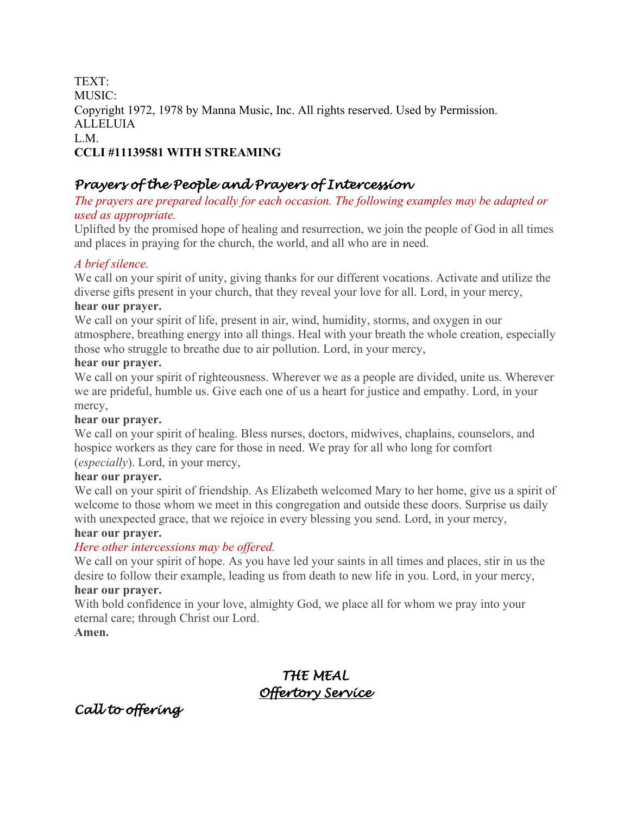TEXT: MUSIC: Copyright 1972, 1978 by Manna Music, Inc. All rights reserved. Used by Permission. ALLELUIA L.M. **CCLI #11139581 WITH STREAMING**

### *Prayers of the People and Prayers of Intercession*

### *The prayers are prepared locally for each occasion. The following examples may be adapted or used as appropriate.*

Uplifted by the promised hope of healing and resurrection, we join the people of God in all times and places in praying for the church, the world, and all who are in need.

### *A brief silence.*

We call on your spirit of unity, giving thanks for our different vocations. Activate and utilize the diverse gifts present in your church, that they reveal your love for all. Lord, in your mercy, **hear our prayer.**

We call on your spirit of life, present in air, wind, humidity, storms, and oxygen in our atmosphere, breathing energy into all things. Heal with your breath the whole creation, especially those who struggle to breathe due to air pollution. Lord, in your mercy,

#### **hear our prayer.**

We call on your spirit of righteousness. Wherever we as a people are divided, unite us. Wherever we are prideful, humble us. Give each one of us a heart for justice and empathy. Lord, in your mercy,

### **hear our prayer.**

We call on your spirit of healing. Bless nurses, doctors, midwives, chaplains, counselors, and hospice workers as they care for those in need. We pray for all who long for comfort (*especially*). Lord, in your mercy,

#### **hear our prayer.**

We call on your spirit of friendship. As Elizabeth welcomed Mary to her home, give us a spirit of welcome to those whom we meet in this congregation and outside these doors. Surprise us daily with unexpected grace, that we rejoice in every blessing you send. Lord, in your mercy,

#### **hear our prayer.**

### *Here other intercessions may be offered.*

We call on your spirit of hope. As you have led your saints in all times and places, stir in us the desire to follow their example, leading us from death to new life in you. Lord, in your mercy, **hear our prayer.**

With bold confidence in your love, almighty God, we place all for whom we pray into your eternal care; through Christ our Lord.

### **Amen.**

## *THE MEAL Offertory Service*

*Call to offering*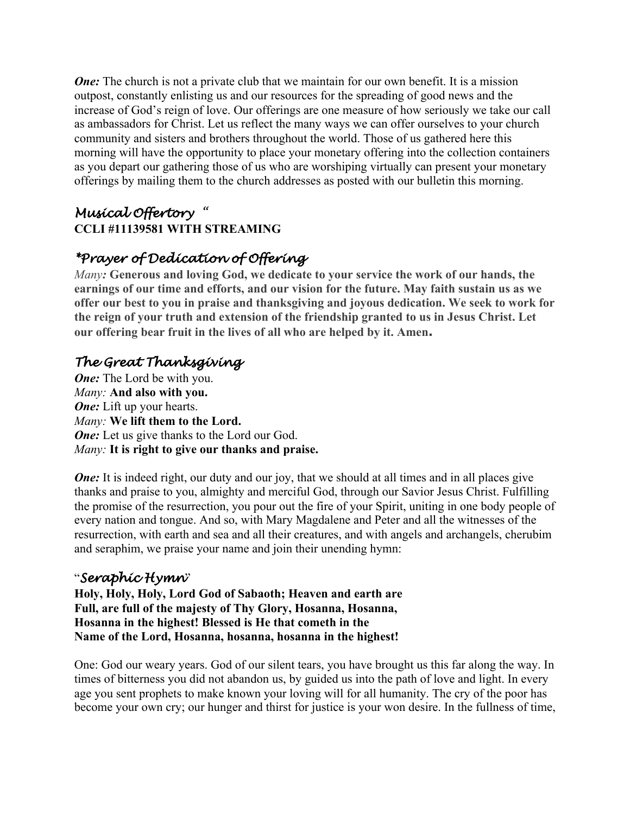*One:* The church is not a private club that we maintain for our own benefit. It is a mission outpost, constantly enlisting us and our resources for the spreading of good news and the increase of God's reign of love. Our offerings are one measure of how seriously we take our call as ambassadors for Christ. Let us reflect the many ways we can offer ourselves to your church community and sisters and brothers throughout the world. Those of us gathered here this morning will have the opportunity to place your monetary offering into the collection containers as you depart our gathering those of us who are worshiping virtually can present your monetary offerings by mailing them to the church addresses as posted with our bulletin this morning.

## *Musical Offertory "*  **CCLI #11139581 WITH STREAMING**

# *\*Prayer of Dedication of Offering*

*Many:* **Generous and loving God, we dedicate to your service the work of our hands, the earnings of our time and efforts, and our vision for the future. May faith sustain us as we offer our best to you in praise and thanksgiving and joyous dedication. We seek to work for the reign of your truth and extension of the friendship granted to us in Jesus Christ. Let our offering bear fruit in the lives of all who are helped by it. Amen.**

# *The Great Thanksgiving*

*One:* The Lord be with you. *Many:* **And also with you.** *One:* Lift up your hearts. *Many:* **We lift them to the Lord.** *One:* Let us give thanks to the Lord our God. *Many:* **It is right to give our thanks and praise.**

*One:* It is indeed right, our duty and our joy, that we should at all times and in all places give thanks and praise to you, almighty and merciful God, through our Savior Jesus Christ. Fulfilling the promise of the resurrection, you pour out the fire of your Spirit, uniting in one body people of every nation and tongue. And so, with Mary Magdalene and Peter and all the witnesses of the resurrection, with earth and sea and all their creatures, and with angels and archangels, cherubim and seraphim, we praise your name and join their unending hymn:

## "*Seraphic Hymn*"

**Holy, Holy, Holy, Lord God of Sabaoth; Heaven and earth are Full, are full of the majesty of Thy Glory, Hosanna, Hosanna, Hosanna in the highest! Blessed is He that cometh in the Name of the Lord, Hosanna, hosanna, hosanna in the highest!**

One: God our weary years. God of our silent tears, you have brought us this far along the way. In times of bitterness you did not abandon us, by guided us into the path of love and light. In every age you sent prophets to make known your loving will for all humanity. The cry of the poor has become your own cry; our hunger and thirst for justice is your won desire. In the fullness of time,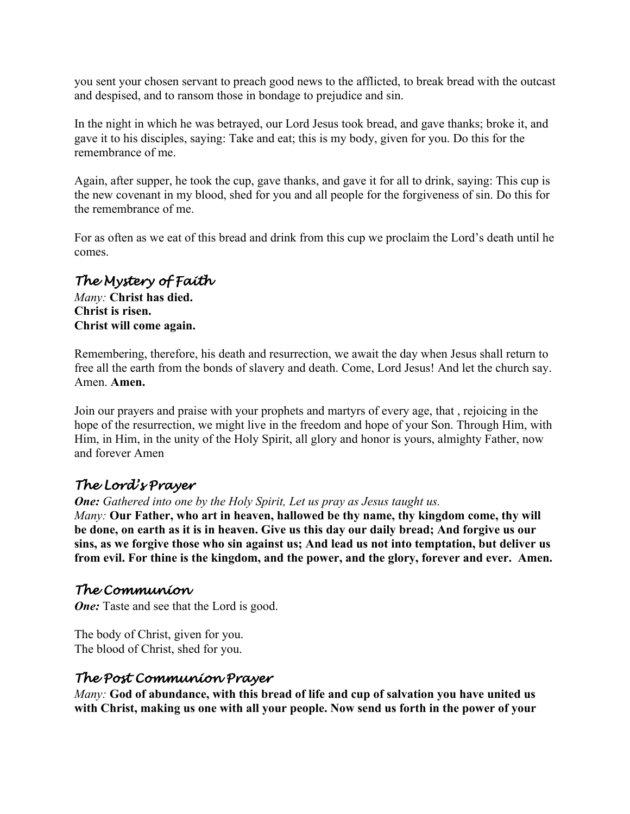you sent your chosen servant to preach good news to the afflicted, to break bread with the outcast and despised, and to ransom those in bondage to prejudice and sin.

In the night in which he was betrayed, our Lord Jesus took bread, and gave thanks; broke it, and gave it to his disciples, saying: Take and eat; this is my body, given for you. Do this for the remembrance of me.

Again, after supper, he took the cup, gave thanks, and gave it for all to drink, saying: This cup is the new covenant in my blood, shed for you and all people for the forgiveness of sin. Do this for the remembrance of me.

For as often as we eat of this bread and drink from this cup we proclaim the Lord's death until he comes.

### *The Mystery of Faith*

*Many:* **Christ has died. Christ is risen. Christ will come again.**

Remembering, therefore, his death and resurrection, we await the day when Jesus shall return to free all the earth from the bonds of slavery and death. Come, Lord Jesus! And let the church say. Amen. **Amen.**

Join our prayers and praise with your prophets and martyrs of every age, that , rejoicing in the hope of the resurrection, we might live in the freedom and hope of your Son. Through Him, with Him, in Him, in the unity of the Holy Spirit, all glory and honor is yours, almighty Father, now and forever Amen

## *The Lord's Prayer*

*One: Gathered into one by the Holy Spirit, Let us pray as Jesus taught us.*

*Many:* **Our Father, who art in heaven, hallowed be thy name, thy kingdom come, thy will be done, on earth as it is in heaven. Give us this day our daily bread; And forgive us our sins, as we forgive those who sin against us; And lead us not into temptation, but deliver us from evil. For thine is the kingdom, and the power, and the glory, forever and ever. Amen.**

### *The Communion*

*One:* Taste and see that the Lord is good.

The body of Christ, given for you. The blood of Christ, shed for you.

### *The Post Communion Prayer*

*Many:* **God of abundance, with this bread of life and cup of salvation you have united us with Christ, making us one with all your people. Now send us forth in the power of your**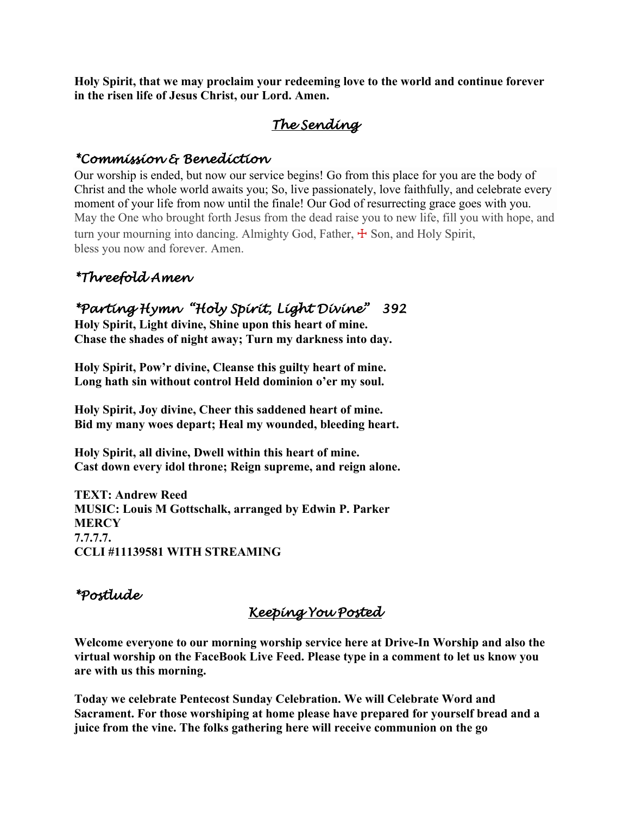**Holy Spirit, that we may proclaim your redeeming love to the world and continue forever in the risen life of Jesus Christ, our Lord. Amen.**

# *The Sending*

### *\*Commission & Benediction*

Our worship is ended, but now our service begins! Go from this place for you are the body of Christ and the whole world awaits you; So, live passionately, love faithfully, and celebrate every moment of your life from now until the finale! Our God of resurrecting grace goes with you. May the One who brought forth Jesus from the dead raise you to new life, fill you with hope, and turn your mourning into dancing. Almighty God, Father,  $\pm$  Son, and Holy Spirit, bless you now and forever. Amen.

# *\*Threefold Amen*

## *\*Parting Hymn "Holy Spirit, Light Divine" 392*

**Holy Spirit, Light divine, Shine upon this heart of mine. Chase the shades of night away; Turn my darkness into day.**

**Holy Spirit, Pow'r divine, Cleanse this guilty heart of mine. Long hath sin without control Held dominion o'er my soul.**

**Holy Spirit, Joy divine, Cheer this saddened heart of mine. Bid my many woes depart; Heal my wounded, bleeding heart.**

**Holy Spirit, all divine, Dwell within this heart of mine. Cast down every idol throne; Reign supreme, and reign alone.**

**TEXT: Andrew Reed MUSIC: Louis M Gottschalk, arranged by Edwin P. Parker MERCY 7.7.7.7. CCLI #11139581 WITH STREAMING**

## *\*Postlude*

## *Keeping You Posted*

**Welcome everyone to our morning worship service here at Drive-In Worship and also the virtual worship on the FaceBook Live Feed. Please type in a comment to let us know you are with us this morning.**

**Today we celebrate Pentecost Sunday Celebration. We will Celebrate Word and Sacrament. For those worshiping at home please have prepared for yourself bread and a juice from the vine. The folks gathering here will receive communion on the go**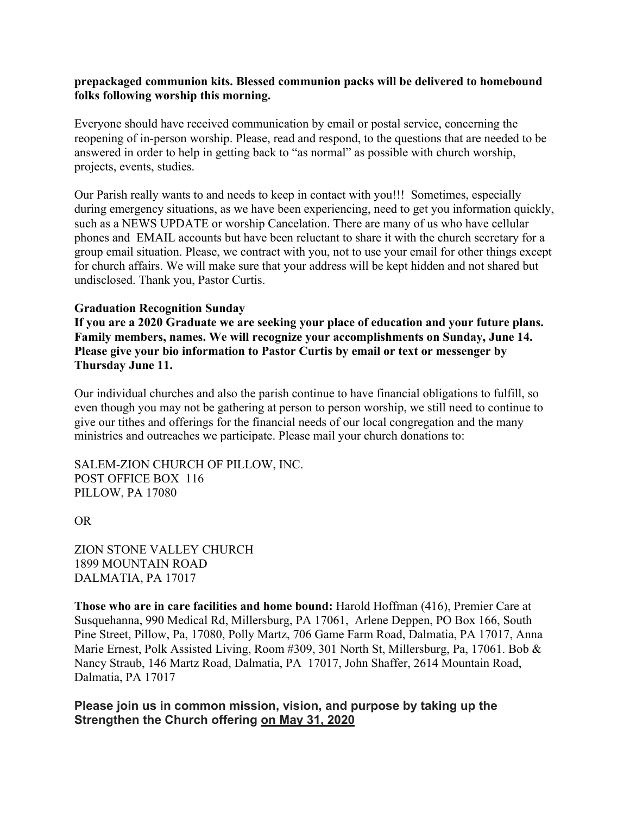#### **prepackaged communion kits. Blessed communion packs will be delivered to homebound folks following worship this morning.**

Everyone should have received communication by email or postal service, concerning the reopening of in-person worship. Please, read and respond, to the questions that are needed to be answered in order to help in getting back to "as normal" as possible with church worship, projects, events, studies.

Our Parish really wants to and needs to keep in contact with you!!! Sometimes, especially during emergency situations, as we have been experiencing, need to get you information quickly, such as a NEWS UPDATE or worship Cancelation. There are many of us who have cellular phones and EMAIL accounts but have been reluctant to share it with the church secretary for a group email situation. Please, we contract with you, not to use your email for other things except for church affairs. We will make sure that your address will be kept hidden and not shared but undisclosed. Thank you, Pastor Curtis.

#### **Graduation Recognition Sunday**

**If you are a 2020 Graduate we are seeking your place of education and your future plans. Family members, names. We will recognize your accomplishments on Sunday, June 14. Please give your bio information to Pastor Curtis by email or text or messenger by Thursday June 11.**

Our individual churches and also the parish continue to have financial obligations to fulfill, so even though you may not be gathering at person to person worship, we still need to continue to give our tithes and offerings for the financial needs of our local congregation and the many ministries and outreaches we participate. Please mail your church donations to:

SALEM-ZION CHURCH OF PILLOW, INC. POST OFFICE BOX 116 PILLOW, PA 17080

#### OR

ZION STONE VALLEY CHURCH 1899 MOUNTAIN ROAD DALMATIA, PA 17017

**Those who are in care facilities and home bound:** Harold Hoffman (416), Premier Care at Susquehanna, 990 Medical Rd, Millersburg, PA 17061, Arlene Deppen, PO Box 166, South Pine Street, Pillow, Pa, 17080, Polly Martz, 706 Game Farm Road, Dalmatia, PA 17017, Anna Marie Ernest, Polk Assisted Living, Room #309, 301 North St, Millersburg, Pa, 17061. Bob & Nancy Straub, 146 Martz Road, Dalmatia, PA 17017, John Shaffer, 2614 Mountain Road, Dalmatia, PA 17017

#### **Please join us in common mission, vision, and purpose by taking up the Strengthen the Church offering on May 31, 2020**